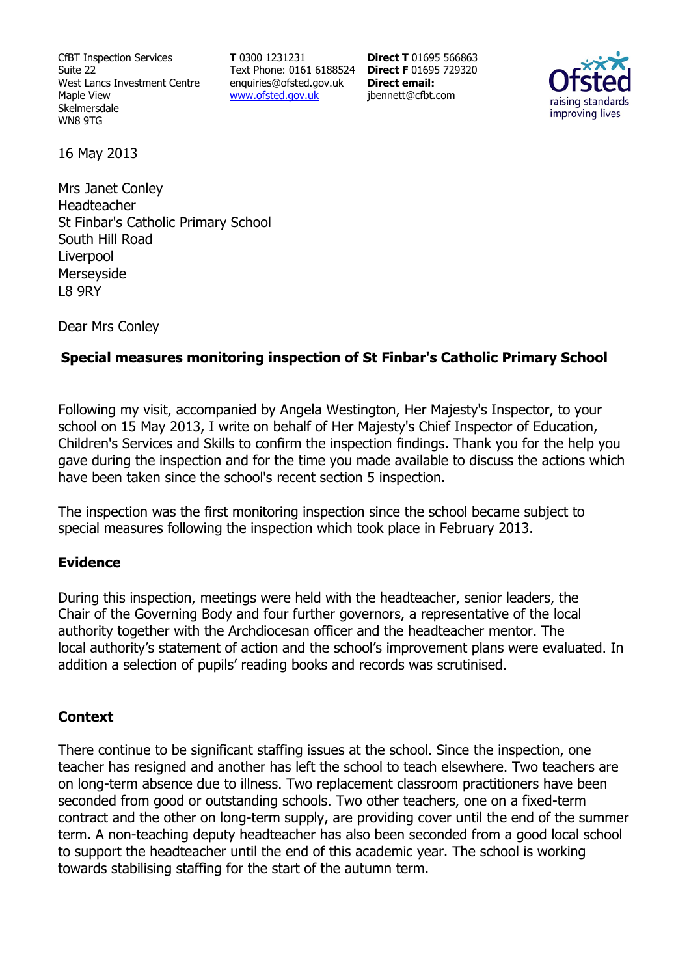CfBT Inspection Services Suite 22 West Lancs Investment Centre Maple View Skelmersdale WN8 9TG

**T** 0300 1231231 Text Phone: 0161 6188524 **Direct F** 01695 729320 enquiries@ofsted.gov.uk www.ofsted.gov.uk

**Direct T** 01695 566863 **Direct email:**  jbennett@cfbt.com



16 May 2013

Mrs Janet Conley Headteacher St Finbar's Catholic Primary School South Hill Road Liverpool Merseyside L8 9RY

Dear Mrs Conley

## **Special measures monitoring inspection of St Finbar's Catholic Primary School**

Following my visit, accompanied by Angela Westington, Her Majesty's Inspector, to your school on 15 May 2013, I write on behalf of Her Majesty's Chief Inspector of Education, Children's Services and Skills to confirm the inspection findings. Thank you for the help you gave during the inspection and for the time you made available to discuss the actions which have been taken since the school's recent section 5 inspection.

The inspection was the first monitoring inspection since the school became subject to special measures following the inspection which took place in February 2013.

#### **Evidence**

During this inspection, meetings were held with the headteacher, senior leaders, the Chair of the Governing Body and four further governors, a representative of the local authority together with the Archdiocesan officer and the headteacher mentor. The local authority's statement of action and the school's improvement plans were evaluated. In addition a selection of pupils' reading books and records was scrutinised.

#### **Context**

There continue to be significant staffing issues at the school. Since the inspection, one teacher has resigned and another has left the school to teach elsewhere. Two teachers are on long-term absence due to illness. Two replacement classroom practitioners have been seconded from good or outstanding schools. Two other teachers, one on a fixed-term contract and the other on long-term supply, are providing cover until the end of the summer term. A non-teaching deputy headteacher has also been seconded from a good local school to support the headteacher until the end of this academic year. The school is working towards stabilising staffing for the start of the autumn term.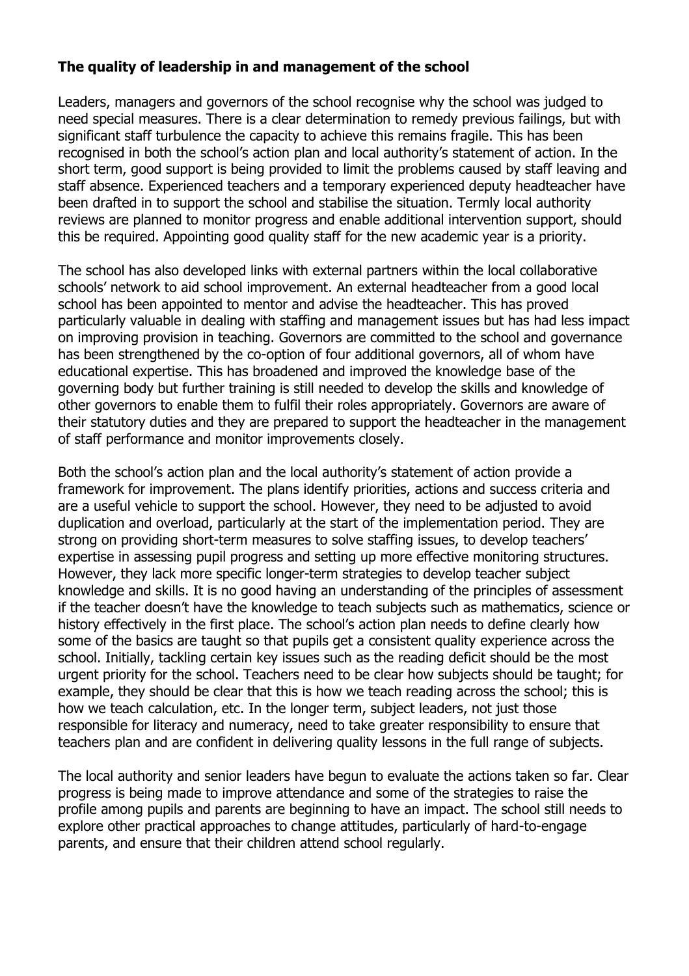# **The quality of leadership in and management of the school**

Leaders, managers and governors of the school recognise why the school was judged to need special measures. There is a clear determination to remedy previous failings, but with significant staff turbulence the capacity to achieve this remains fragile. This has been recognised in both the school's action plan and local authority's statement of action. In the short term, good support is being provided to limit the problems caused by staff leaving and staff absence. Experienced teachers and a temporary experienced deputy headteacher have been drafted in to support the school and stabilise the situation. Termly local authority reviews are planned to monitor progress and enable additional intervention support, should this be required. Appointing good quality staff for the new academic year is a priority.

The school has also developed links with external partners within the local collaborative schools' network to aid school improvement. An external headteacher from a good local school has been appointed to mentor and advise the headteacher. This has proved particularly valuable in dealing with staffing and management issues but has had less impact on improving provision in teaching. Governors are committed to the school and governance has been strengthened by the co-option of four additional governors, all of whom have educational expertise. This has broadened and improved the knowledge base of the governing body but further training is still needed to develop the skills and knowledge of other governors to enable them to fulfil their roles appropriately. Governors are aware of their statutory duties and they are prepared to support the headteacher in the management of staff performance and monitor improvements closely.

Both the school's action plan and the local authority's statement of action provide a framework for improvement. The plans identify priorities, actions and success criteria and are a useful vehicle to support the school. However, they need to be adjusted to avoid duplication and overload, particularly at the start of the implementation period. They are strong on providing short-term measures to solve staffing issues, to develop teachers' expertise in assessing pupil progress and setting up more effective monitoring structures. However, they lack more specific longer-term strategies to develop teacher subject knowledge and skills. It is no good having an understanding of the principles of assessment if the teacher doesn't have the knowledge to teach subjects such as mathematics, science or history effectively in the first place. The school's action plan needs to define clearly how some of the basics are taught so that pupils get a consistent quality experience across the school. Initially, tackling certain key issues such as the reading deficit should be the most urgent priority for the school. Teachers need to be clear how subjects should be taught; for example, they should be clear that this is how we teach reading across the school; this is how we teach calculation, etc. In the longer term, subject leaders, not just those responsible for literacy and numeracy, need to take greater responsibility to ensure that teachers plan and are confident in delivering quality lessons in the full range of subjects.

The local authority and senior leaders have begun to evaluate the actions taken so far. Clear progress is being made to improve attendance and some of the strategies to raise the profile among pupils and parents are beginning to have an impact. The school still needs to explore other practical approaches to change attitudes, particularly of hard-to-engage parents, and ensure that their children attend school regularly.